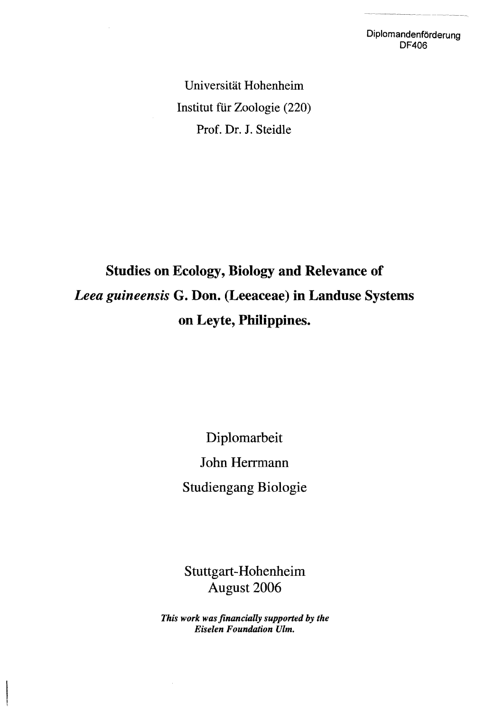Diplomandenförderung DF406

Universität Hohenheim Institut für Zoologie (220) Prof. Dr. J. Steidle

## Studies on Ecology, Biology and Relevance of *Leea guineensis* G. Don. (Leeaceae) in Landuse Systems on Leyte, Philippines.

Diplomarbeit John Herrmann Studiengang Biologie

Stuttgart-Hohenheim August 2006

*This work was financially supported by the Eiselen Foundation Ulm.*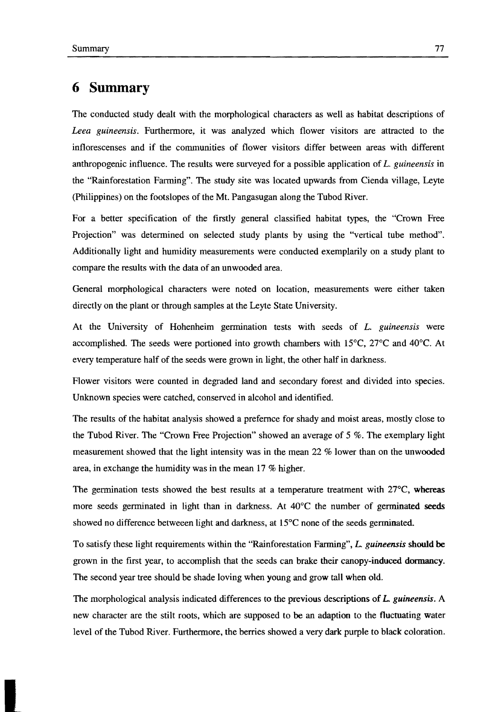## **6 Summary**

The conducted study dealt with the morphological characters as well as habitat descriptions of *Leea guineensis.* Furthermore, it was analyzed which flower visitors are attraeted to the infloreseenses and if the eommunities of flower visitors differ between areas with different anthropogenie influenee. The results were surveyed for a possible applieation of *L. guineensis* in the "Rainforestation Farming". Tbe study site was located upwards from Cienda village, Leyte (Philippines) on the footslopes of the Mt. Pangasugan along the Tubod River.

For a better specification of the firstly general classified habitat types, the "Crown Free Projection" was determined on seleeted study plants by using the "vertical tube method". Additionally light and humidity measurements were eondueted exemplarilyon a study plant to eompare the results with the data of an unwooded area.

General morphologieal eharaeters were noted on loeation, measurements were either taken directly on the plant or through samples at the Leyte State University.

At the University of Hohenheim germination tests with seeds of *L. guineensis* were accomplished. The seeds were portioned into growth chambers with  $15^{\circ}$ C,  $27^{\circ}$ C and  $40^{\circ}$ C. At every temperature half of the seeds were grown in light, the other half in darkness.

Flower visitors were counted in degraded land and secondary forest and divided into species. Unknown speeies were eatehed, eonserved in alcohol and identified.

Tbe results of the habitat analysis showed a prefemee for shady and moist areas, mostly elose to the Tubod River. The "Crown Free Projection" showed an average of  $5\%$ . The exemplary light measurement showed that the light intensity was in the mean 22 % lower than on the unwooded area, in exchange the humidity was in the mean 17 % higher.

The germination tests showed the best results at a temperature treatment with  $27^{\circ}$ C, whereas more seeds germinated in light than in darkness. At  $40^{\circ}$ C the number of germinated seeds showed no difference betweeen light and darkness, at 15°C none of the seeds germinated.

To satisfy these light requirements within the "Rainforestation Farrning", *L. guineensis* should be grown in the first year, to accomplish that the seeds can brake their canopy-induced dormancy. The second year tree should be shade loving when young and grow tall when old.

Tbe morphological analysis indicated differenees to the previous descriptions of L *guineensis.* A new eharaeter are the stilt roots, whieh are supposed to be an adaption to the fluetuating water level of the Tubod River. Furthermore, the berries showed a very dark purple to black coloration.